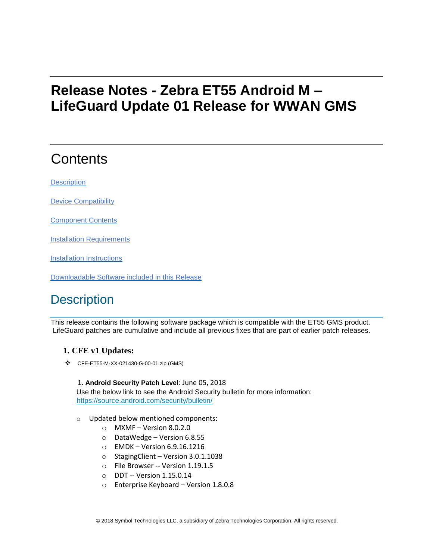# **Release Notes - Zebra ET55 Android M – LifeGuard Update 01 Release for WWAN GMS**

# **Contents**

**[Description](#page-0-0)** 

[Device Compatibility](#page-1-0)

[Component Contents](#page-2-0)

[Installation Requirements](#page-2-1)

[Installation Instructions](#page-2-2)

[Downloadable Software included in this Release](#page-3-0)

## <span id="page-0-0"></span>**Description**

This release contains the following software package which is compatible with the ET55 GMS product. LifeGuard patches are cumulative and include all previous fixes that are part of earlier patch releases.

### **1. CFE v1 Updates:**

❖ CFE-ET55-M-XX-021430-G-00-01.zip (GMS)

#### 1. **Android Security Patch Level**: June 05, 2018

Use the below link to see the Android Security bulletin for more information: <https://source.android.com/security/bulletin/>

- o Updated below mentioned components:
	- $O$  MXMF Version 8.0.2.0
	- o DataWedge Version 6.8.55
	- o EMDK Version 6.9.16.1216
	- o StagingClient Version 3.0.1.1038
	- o File Browser -- Version 1.19.1.5
	- o DDT -- Version 1.15.0.14
	- o Enterprise Keyboard Version 1.8.0.8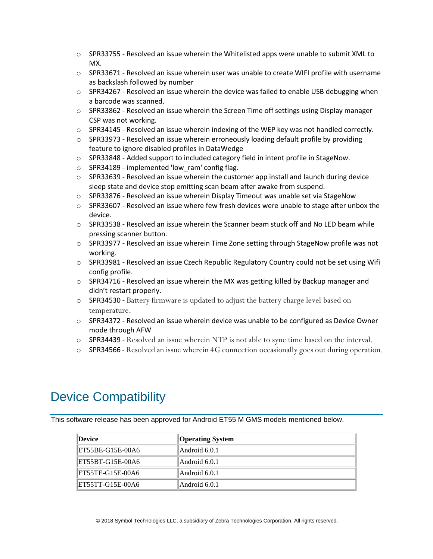- $\circ$  SPR33755 Resolved an issue wherein the Whitelisted apps were unable to submit XML to MX.
- $\circ$  SPR33671 Resolved an issue wherein user was unable to create WIFI profile with username as backslash followed by number
- $\circ$  SPR34267 Resolved an issue wherein the device was failed to enable USB debugging when a barcode was scanned.
- $\circ$  SPR33862 Resolved an issue wherein the Screen Time off settings using Display manager CSP was not working.
- $\circ$  SPR34145 Resolved an issue wherein indexing of the WEP key was not handled correctly.
- $\circ$  SPR33973 Resolved an issue wherein erroneously loading default profile by providing feature to ignore disabled profiles in DataWedge
- $\circ$  SPR33848 Added support to included category field in intent profile in StageNow.
- o SPR34189 implemented 'low\_ram' config flag.
- $\circ$  SPR33639 Resolved an issue wherein the customer app install and launch during device sleep state and device stop emitting scan beam after awake from suspend.
- o SPR33876 Resolved an issue wherein Display Timeout was unable set via StageNow
- o SPR33607 Resolved an issue where few fresh devices were unable to stage after unbox the device.
- $\circ$  SPR33538 Resolved an issue wherein the Scanner beam stuck off and No LED beam while pressing scanner button.
- o SPR33977 Resolved an issue wherein Time Zone setting through StageNow profile was not working.
- $\circ$  SPR33981 Resolved an issue Czech Republic Regulatory Country could not be set using Wifi config profile.
- $\circ$  SPR34716 Resolved an issue wherein the MX was getting killed by Backup manager and didn't restart properly.
- o SPR34530 Battery firmware is updated to adjust the battery charge level based on temperature.
- $\circ$  SPR34372 Resolved an issue wherein device was unable to be configured as Device Owner mode through AFW
- o SPR34439 Resolved an issue wherein NTP is not able to sync time based on the interval.
- o SPR34566 Resolved an issue wherein 4G connection occasionally goes out during operation.

## <span id="page-1-0"></span>Device Compatibility

This software release has been approved for Android ET55 M GMS models mentioned below.

| Device           | <b>Operating System</b> |
|------------------|-------------------------|
| ET55BE-G15E-00A6 | Android 6.0.1           |
| ET55BT-G15E-00A6 | Android 6.0.1           |
| ET55TE-G15E-00A6 | Android 6.0.1           |
| ET55TT-G15E-00A6 | Android 6.0.1           |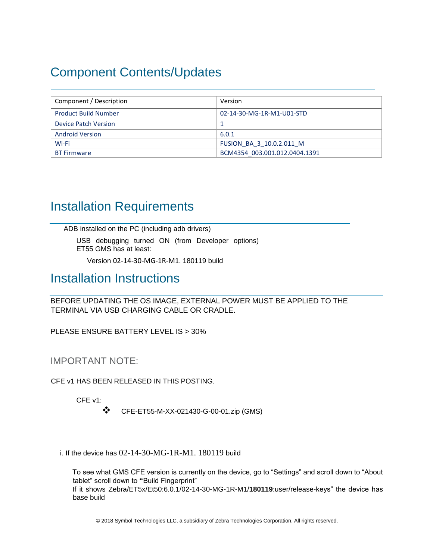## <span id="page-2-0"></span>Component Contents/Updates

| Component / Description     | Version                       |
|-----------------------------|-------------------------------|
| <b>Product Build Number</b> | 02-14-30-MG-1R-M1-U01-STD     |
| Device Patch Version        |                               |
| <b>Android Version</b>      | 6.0.1                         |
| Wi-Fi                       | FUSION BA 3 10.0.2.011 M      |
| <b>BT Firmware</b>          | BCM4354 003.001.012.0404.1391 |

## <span id="page-2-1"></span>Installation Requirements

ADB installed on the PC (including adb drivers)

USB debugging turned ON (from Developer options) ET55 GMS has at least:

Version 02-14-30-MG-1R-M1. 180119 build

### <span id="page-2-2"></span>Installation Instructions

BEFORE UPDATING THE OS IMAGE, EXTERNAL POWER MUST BE APPLIED TO THE TERMINAL VIA USB CHARGING CABLE OR CRADLE.

PLEASE ENSURE BATTERY LEVEL IS > 30%

IMPORTANT NOTE:

CFE v1 HAS BEEN RELEASED IN THIS POSTING.

CFE v1:

❖ CFE-ET55-M-XX-021430-G-00-01.zip (GMS)

i. If the device has 02-14-30-MG-1R-M1. 180119 build

To see what GMS CFE version is currently on the device, go to "Settings" and scroll down to "About tablet" scroll down to **"**Build Fingerprint" If it shows Zebra/ET5x/Et50:6.0.1/02-14-30-MG-1R-M1/**180119**:user/release-keys" the device has base build